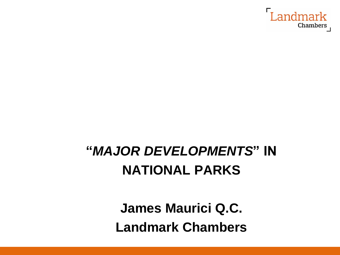

## **"***MAJOR DEVELOPMENTS***" IN NATIONAL PARKS**

**James Maurici Q.C. Landmark Chambers**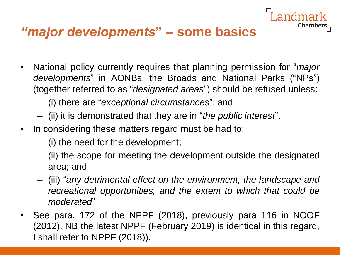#### *"major developments***" – some basics**

• National policy currently requires that planning permission for "*major developments*" in AONBs, the Broads and National Parks ("NPs") (together referred to as "*designated areas*") should be refused unless:

- (i) there are "*exceptional circumstances*"; and
- (ii) it is demonstrated that they are in "*the public interest*".
- In considering these matters regard must be had to:
	- (i) the need for the development;
	- (ii) the scope for meeting the development outside the designated area; and
	- (iii) "*any detrimental effect on the environment, the landscape and recreational opportunities, and the extent to which that could be moderated*"
- See para. 172 of the NPPF (2018), previously para 116 in NOOF (2012). NB the latest NPPF (February 2019) is identical in this regard, I shall refer to NPPF (2018)).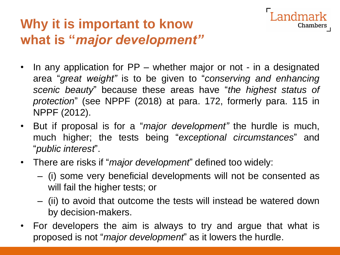#### **Why it is important to know what is "***major development"*

• In any application for PP – whether major or not - in a designated area "*great weight"* is to be given to "*conserving and enhancing scenic beauty*" because these areas have "*the highest status of protection*" (see NPPF (2018) at para. 172, formerly para. 115 in NPPF (2012).

- But if proposal is for a "*major development"* the hurdle is much, much higher; the tests being "*exceptional circumstances*" and "*public interest*".
- There are risks if "*major development*" defined too widely:
	- (i) some very beneficial developments will not be consented as will fail the higher tests; or
	- (ii) to avoid that outcome the tests will instead be watered down by decision-makers.
- For developers the aim is always to try and argue that what is proposed is not "*major development*" as it lowers the hurdle.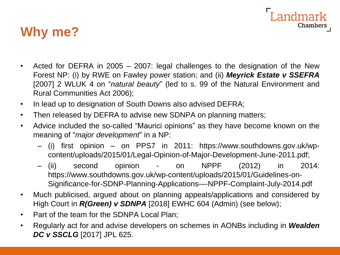

#### **Why me?**

- Acted for DEFRA in 2005 2007: legal challenges to the designation of the New Forest NP: (i) by RWE on Fawley power station; and (ii) *Meyrick Estate v SSEFRA* [2007] 2 WLUK 4 on "*natural beauty*" (led to s. 99 of the Natural Environment and Rural Communities Act 2006);
- In lead up to designation of South Downs also advised DEFRA;
- Then released by DEFRA to advise new SDNPA on planning matters;
- Advice included the so-called "Maurici opinions" as they have become known on the meaning of "*major development*" in a NP:
	- (i) first opinion on PPS7 in 2011: https://www.southdowns.gov.uk/wpcontent/uploads/2015/01/Legal-Opinion-of-Major-Development-June-2011.pdf;
	- (ii) second opinion on NPPF (2012) in 2014: https://www.southdowns.gov.uk/wp-content/uploads/2015/01/Guidelines-on-Significance-for-SDNP-Planning-Applications-–-NPPF-Complaint-July-2014.pdf
- Much publicised, argued about on planning appeals/applications and considered by High Court in *R(Green) v SDNPA* [2018] EWHC 604 (Admin) (see below);
- Part of the team for the SDNPA Local Plan;
- Regularly act for and advise developers on schemes in AONBs including in *Wealden DC v SSCLG* [2017] JPL 625.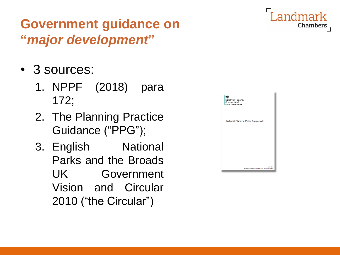#### **Government guidance on "***major development***"**

- 3 sources:
	- 1. NPPF (2018) para 172;
	- 2. The Planning Practice Guidance ("PPG");
	- 3. English National Parks and the Broads UK Government Vision and Circular 2010 ("the Circular")

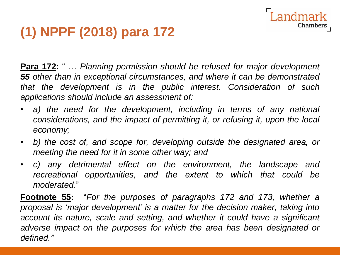### **(1) NPPF (2018) para 172**

**Para 172:** " … *Planning permission should be refused for major development 55 other than in exceptional circumstances, and where it can be demonstrated that the development is in the public interest. Consideration of such applications should include an assessment of:*

Chambers

- *a) the need for the development, including in terms of any national considerations, and the impact of permitting it, or refusing it, upon the local economy;*
- *b) the cost of, and scope for, developing outside the designated area, or meeting the need for it in some other way; and*
- *c) any detrimental effect on the environment, the landscape and recreational opportunities, and the extent to which that could be moderated*."

**Footnote 55:** "*For the purposes of paragraphs 172 and 173, whether a proposal is 'major development' is a matter for the decision maker, taking into account its nature, scale and setting, and whether it could have a significant adverse impact on the purposes for which the area has been designated or defined."*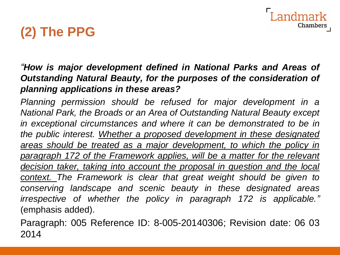Chambers

### **(2) The PPG**

#### *"How is major development defined in National Parks and Areas of Outstanding Natural Beauty, for the purposes of the consideration of planning applications in these areas?*

*Planning permission should be refused for major development in a National Park, the Broads or an Area of Outstanding Natural Beauty except in exceptional circumstances and where it can be demonstrated to be in the public interest. Whether a proposed development in these designated areas should be treated as a major development, to which the policy in paragraph 172 of the Framework applies, will be a matter for the relevant decision taker, taking into account the proposal in question and the local context. The Framework is clear that great weight should be given to conserving landscape and scenic beauty in these designated areas irrespective of whether the policy in paragraph 172 is applicable."* (emphasis added).

Paragraph: 005 Reference ID: 8-005-20140306; Revision date: 06 03 2014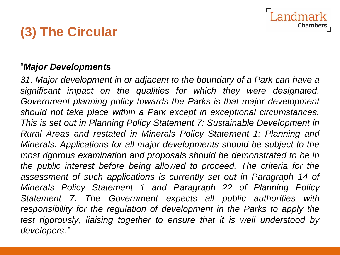### **(3) The Circular**

#### "*Major Developments*

*31. Major development in or adjacent to the boundary of a Park can have a significant impact on the qualities for which they were designated. Government planning policy towards the Parks is that major development should not take place within a Park except in exceptional circumstances. This is set out in Planning Policy Statement 7: Sustainable Development in Rural Areas and restated in Minerals Policy Statement 1: Planning and Minerals. Applications for all major developments should be subject to the most rigorous examination and proposals should be demonstrated to be in the public interest before being allowed to proceed. The criteria for the assessment of such applications is currently set out in Paragraph 14 of Minerals Policy Statement 1 and Paragraph 22 of Planning Policy Statement 7. The Government expects all public authorities with responsibility for the regulation of development in the Parks to apply the test rigorously, liaising together to ensure that it is well understood by developers."*

Chamber: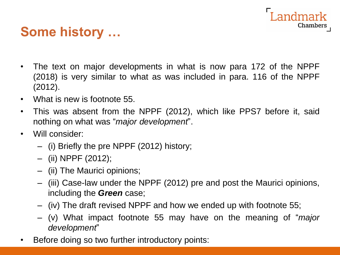#### **Some history …**

• The text on major developments in what is now para 172 of the NPPF (2018) is very similar to what as was included in para. 116 of the NPPF (2012).

- What is new is footnote 55.
- This was absent from the NPPF (2012), which like PPS7 before it, said nothing on what was "*major development*".
- Will consider:
	- (i) Briefly the pre NPPF (2012) history;
	- (ii) NPPF (2012);
	- (ii) The Maurici opinions;
	- (iii) Case-law under the NPPF (2012) pre and post the Maurici opinions, including the *Green* case;
	- (iv) The draft revised NPPF and how we ended up with footnote 55;
	- (v) What impact footnote 55 may have on the meaning of "*major development*"
- Before doing so two further introductory points: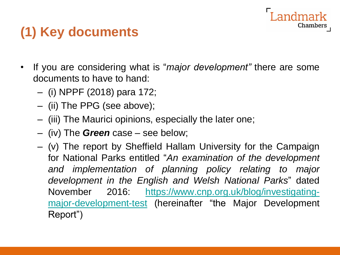#### **(1) Key documents**

• If you are considering what is "*major development"* there are some documents to have to hand:

- (i) NPPF (2018) para 172;
- (ii) The PPG (see above);
- (iii) The Maurici opinions, especially the later one;
- (iv) The *Green* case see below;
- (v) The report by Sheffield Hallam University for the Campaign for National Parks entitled "*An examination of the development and implementation of planning policy relating to major development in the English and Welsh National Parks*" dated November 2016: [https://www.cnp.org.uk/blog/investigating](https://www.cnp.org.uk/blog/investigating-major-development-test)major-development-test (hereinafter "the Major Development Report")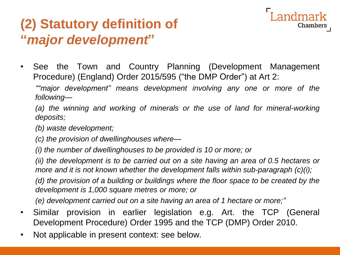#### **(2) Statutory definition of "***major development***"**



Chambers

*following—*

*(a) the winning and working of minerals or the use of land for mineral-working deposits;*

*(b) waste development;*

*(c) the provision of dwellinghouses where—*

*(i) the number of dwellinghouses to be provided is 10 or more; or*

*(ii) the development is to be carried out on a site having an area of 0.5 hectares or more and it is not known whether the development falls within sub-paragraph (c)(i);*

*(d) the provision of a building or buildings where the floor space to be created by the development is 1,000 square metres or more; or*

*(e) development carried out on a site having an area of 1 hectare or more;"*

- Similar provision in earlier legislation e.g. Art. the TCP (General Development Procedure) Order 1995 and the TCP (DMP) Order 2010.
- Not applicable in present context: see below.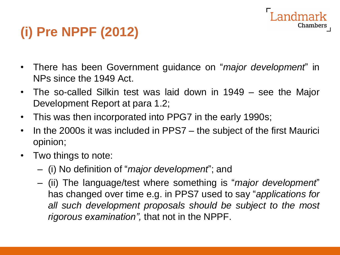# Chambers

### **(i) Pre NPPF (2012)**

- There has been Government guidance on "*major development*" in NPs since the 1949 Act.
- The so-called Silkin test was laid down in 1949 see the Major Development Report at para 1.2;
- This was then incorporated into PPG7 in the early 1990s;
- In the 2000s it was included in PPS7 the subject of the first Maurici opinion;
- Two things to note:
	- (i) No definition of "*major development*"; and
	- (ii) The language/test where something is "*major development*" has changed over time e.g. in PPS7 used to say "*applications for all such development proposals should be subject to the most rigorous examination",* that not in the NPPF.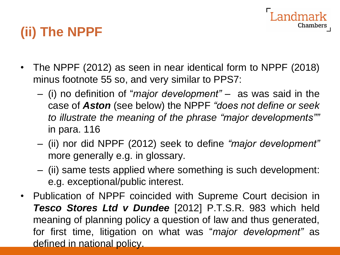# Chambers

### **(ii) The NPPF**

- The NPPF (2012) as seen in near identical form to NPPF (2018) minus footnote 55 so, and very similar to PPS7:
	- (i) no definition of "*major development" –* as was said in the case of *Aston* (see below) the NPPF *"does not define or seek to illustrate the meaning of the phrase "major developments""* in para. 116
	- (ii) nor did NPPF (2012) seek to define *"major development"* more generally e.g. in glossary.
	- (ii) same tests applied where something is such development: e.g. exceptional/public interest.
- Publication of NPPF coincided with Supreme Court decision in *Tesco Stores Ltd v Dundee* [2012] P.T.S.R. 983 which held meaning of planning policy a question of law and thus generated, for first time, litigation on what was "*major development"* as defined in national policy.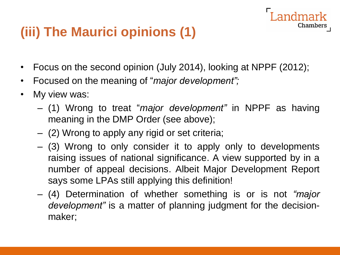### **(iii) The Maurici opinions (1)**

- Focus on the second opinion (July 2014), looking at NPPF (2012);
- Focused on the meaning of "*major development";*
- My view was:
	- (1) Wrong to treat "*major development"* in NPPF as having meaning in the DMP Order (see above);

- (2) Wrong to apply any rigid or set criteria;
- (3) Wrong to only consider it to apply only to developments raising issues of national significance. A view supported by in a number of appeal decisions. Albeit Major Development Report says some LPAs still applying this definition!
- (4) Determination of whether something is or is not *"major development"* is a matter of planning judgment for the decisionmaker;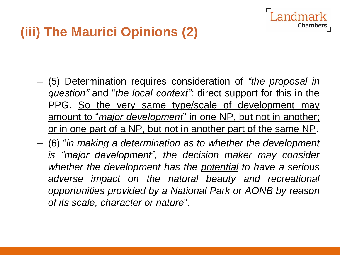#### **(iii) The Maurici Opinions (2)**

- (5) Determination requires consideration of *"the proposal in question"* and "*the local context":* direct support for this in the PPG. So the very same type/scale of development may amount to "*major development*" in one NP, but not in another; or in one part of a NP, but not in another part of the same NP.
- (6) "*in making a determination as to whether the development is "major development", the decision maker may consider whether the development has the potential to have a serious adverse impact on the natural beauty and recreational opportunities provided by a National Park or AONB by reason of its scale, character or nature*".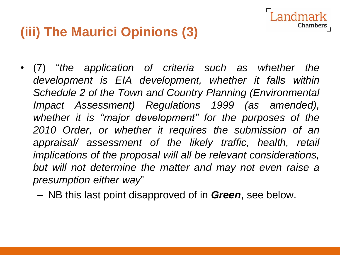#### **(iii) The Maurici Opinions (3)**

• (7) "*the application of criteria such as whether the development is EIA development, whether it falls within Schedule 2 of the Town and Country Planning (Environmental Impact Assessment) Regulations 1999 (as amended), whether it is "major development" for the purposes of the 2010 Order, or whether it requires the submission of an appraisal/ assessment of the likely traffic, health, retail implications of the proposal will all be relevant considerations, but will not determine the matter and may not even raise a presumption either way*"

Chambers

– NB this last point disapproved of in *Green*, see below.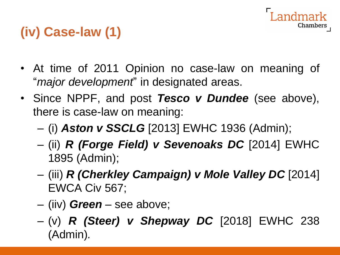

### **(iv) Case-law (1)**

- At time of 2011 Opinion no case-law on meaning of "*major development*" in designated areas.
- Since NPPF, and post *Tesco v Dundee* (see above), there is case-law on meaning:
	- (i) *Aston v SSCLG* [2013] EWHC 1936 (Admin);
	- (ii) *R (Forge Field) v Sevenoaks DC* [2014] EWHC 1895 (Admin);
	- (iii) *R (Cherkley Campaign) v Mole Valley DC* [2014] EWCA Civ 567;
	- (iiv) *Green* see above;
	- (v) *R (Steer) v Shepway DC* [2018] EWHC 238 (Admin)*.*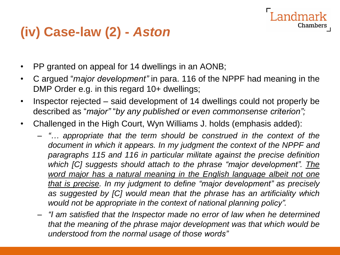#### **(iv) Case-law (2) -** *Aston*

- PP granted on appeal for 14 dwellings in an AONB;
- C argued "*major development"* in para. 116 of the NPPF had meaning in the DMP Order e.g. in this regard 10+ dwellings;

- Inspector rejected said development of 14 dwellings could not properly be described as "*major"* "*by any published or even commonsense criterion";*
- Challenged in the High Court, Wyn Williams J. holds (emphasis added):
	- *"… appropriate that the term should be construed in the context of the document in which it appears. In my judgment the context of the NPPF and paragraphs 115 and 116 in particular militate against the precise definition which [C] suggests should attach to the phrase "major development". The word major has a natural meaning in the English language albeit not one that is precise. In my judgment to define "major development" as precisely as suggested by [C] would mean that the phrase has an artificiality which would not be appropriate in the context of national planning policy".*
	- *"I am satisfied that the Inspector made no error of law when he determined that the meaning of the phrase major development was that which would be understood from the normal usage of those words"*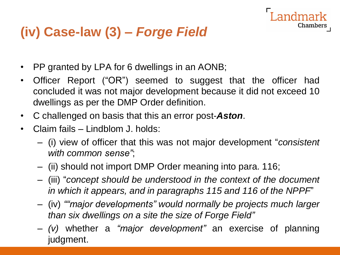## **(iv) Case-law (3) –** *Forge Field*

- PP granted by LPA for 6 dwellings in an AONB;
- Officer Report ("OR") seemed to suggest that the officer had concluded it was not major development because it did not exceed 10 dwellings as per the DMP Order definition.

- C challenged on basis that this an error post-*Aston*.
- Claim fails Lindblom J. holds:
	- (i) view of officer that this was not major development "*consistent with common sense"*;
	- (ii) should not import DMP Order meaning into para. 116;
	- (iii) "*concept should be understood in the context of the document in which it appears, and in paragraphs 115 and 116 of the NPPF*"
	- (iv) *""major developments" would normally be projects much larger than six dwellings on a site the size of Forge Field"*
	- *(v)* whether a *"major development"* an exercise of planning judgment.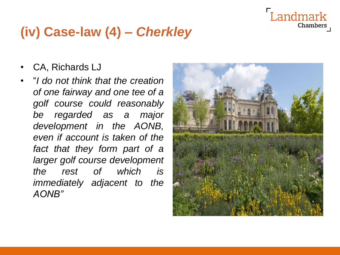#### Landmark Chambers

#### **(iv) Case-law (4) –** *Cherkley*

- CA, Richards LJ
- "*I do not think that the creation of one fairway and one tee of a golf course could reasonably be regarded as a major development in the AONB, even if account is taken of the fact that they form part of a larger golf course development the rest of which is immediately adjacent to the AONB"*

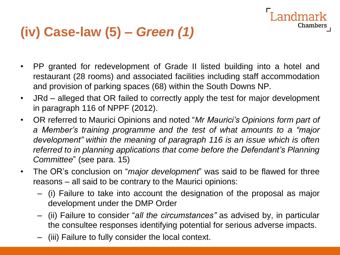#### **(iv) Case-law (5) –** *Green (1)*

• PP granted for redevelopment of Grade II listed building into a hotel and restaurant (28 rooms) and associated facilities including staff accommodation and provision of parking spaces (68) within the South Downs NP.

andmark

- JRd alleged that OR failed to correctly apply the test for major development in paragraph 116 of NPPF (2012).
- OR referred to Maurici Opinions and noted "*Mr Maurici's Opinions form part of a Member's training programme and the test of what amounts to a "major development" within the meaning of paragraph 116 is an issue which is often referred to in planning applications that come before the Defendant's Planning Committee*" (see para. 15)
- The OR's conclusion on "*major development*" was said to be flawed for three reasons – all said to be contrary to the Maurici opinions:
	- (i) Failure to take into account the designation of the proposal as major development under the DMP Order
	- (ii) Failure to consider "*all the circumstances"* as advised by, in particular the consultee responses identifying potential for serious adverse impacts.
	- (iii) Failure to fully consider the local context.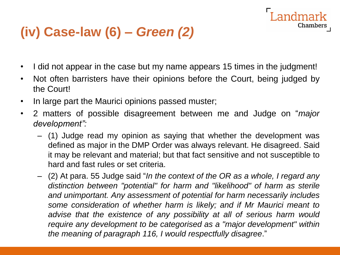#### **(iv) Case-law (6) –** *Green (2)*

• I did not appear in the case but my name appears 15 times in the judgment!

- Not often barristers have their opinions before the Court, being judged by the Court!
- In large part the Maurici opinions passed muster;
- 2 matters of possible disagreement between me and Judge on "*major development":*
	- (1) Judge read my opinion as saying that whether the development was defined as major in the DMP Order was always relevant. He disagreed. Said it may be relevant and material; but that fact sensitive and not susceptible to hard and fast rules or set criteria.
	- (2) At para. 55 Judge said "*In the context of the OR as a whole, I regard any distinction between "potential" for harm and "likelihood" of harm as sterile and unimportant. Any assessment of potential for harm necessarily includes some consideration of whether harm is likely; and if Mr Maurici meant to advise that the existence of any possibility at all of serious harm would require any development to be categorised as a "major development" within the meaning of paragraph 116, I would respectfully disagree*."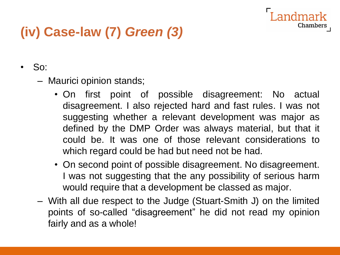### **(iv) Case-law (7)** *Green (3)*

- So:
	- Maurici opinion stands;
		- On first point of possible disagreement: No actual disagreement. I also rejected hard and fast rules. I was not suggesting whether a relevant development was major as defined by the DMP Order was always material, but that it could be. It was one of those relevant considerations to which regard could be had but need not be had.

- On second point of possible disagreement. No disagreement. I was not suggesting that the any possibility of serious harm would require that a development be classed as major.
- With all due respect to the Judge (Stuart-Smith J) on the limited points of so-called "disagreement" he did not read my opinion fairly and as a whole!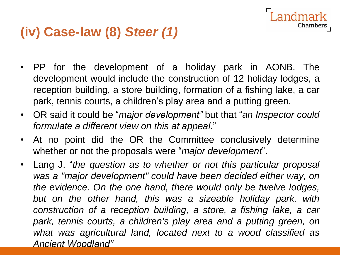#### **(iv) Case-law (8)** *Steer (1)*

• PP for the development of a holiday park in AONB. The development would include the construction of 12 holiday lodges, a reception building, a store building, formation of a fishing lake, a car park, tennis courts, a children's play area and a putting green.

- OR said it could be "*major development"* but that "*an Inspector could formulate a different view on this at appeal*."
- At no point did the OR the Committee conclusively determine whether or not the proposals were "*major development*".
- Lang J. "*the question as to whether or not this particular proposal was a "major development" could have been decided either way, on the evidence. On the one hand, there would only be twelve lodges, but on the other hand, this was a sizeable holiday park, with construction of a reception building, a store, a fishing lake, a car park, tennis courts, a children's play area and a putting green, on what was agricultural land, located next to a wood classified as Ancient Woodland"*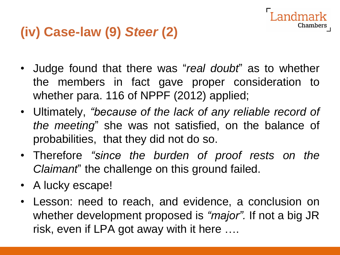#### **(iv) Case-law (9)** *Steer* **(2)**

• Judge found that there was "*real doubt*" as to whether the members in fact gave proper consideration to whether para. 116 of NPPF (2012) applied;

- Ultimately, *"because of the lack of any reliable record of the meeting*" she was not satisfied, on the balance of probabilities, that they did not do so.
- Therefore *"since the burden of proof rests on the Claimant*" the challenge on this ground failed.
- A lucky escape!
- Lesson: need to reach, and evidence, a conclusion on whether development proposed is *"major".* If not a big JR risk, even if LPA got away with it here ….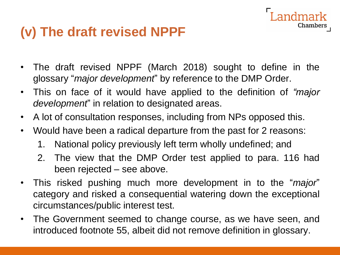#### **(v) The draft revised NPPF**

• The draft revised NPPF (March 2018) sought to define in the glossary "*major development*" by reference to the DMP Order.

- This on face of it would have applied to the definition of *"major development*" in relation to designated areas.
- A lot of consultation responses, including from NPs opposed this.
- Would have been a radical departure from the past for 2 reasons:
	- 1. National policy previously left term wholly undefined; and
	- 2. The view that the DMP Order test applied to para. 116 had been rejected – see above.
- This risked pushing much more development in to the "*major*" category and risked a consequential watering down the exceptional circumstances/public interest test.
- The Government seemed to change course, as we have seen, and introduced footnote 55, albeit did not remove definition in glossary.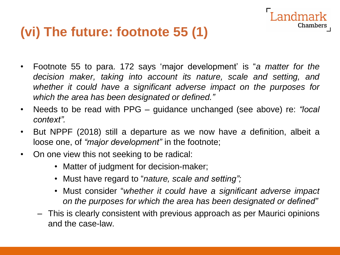#### **(vi) The future: footnote 55 (1)**

• Footnote 55 to para. 172 says 'major development' is "*a matter for the decision maker, taking into account its nature, scale and setting, and whether it could have a significant adverse impact on the purposes for which the area has been designated or defined."*

- Needs to be read with PPG guidance unchanged (see above) re: *"local context".*
- But NPPF (2018) still a departure as we now have *a* definition, albeit a loose one, of *"major development"* in the footnote;
- On one view this not seeking to be radical:
	- Matter of judgment for decision-maker;
	- Must have regard to "*nature, scale and setting";*
	- Must consider "*whether it could have a significant adverse impact on the purposes for which the area has been designated or defined"*
	- This is clearly consistent with previous approach as per Maurici opinions and the case-law.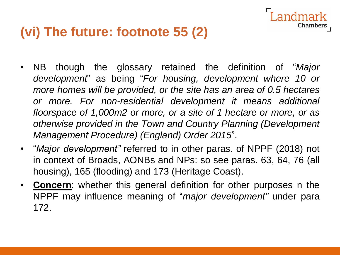#### **(vi) The future: footnote 55 (2)**

• NB though the glossary retained the definition of "*Major development*" as being "*For housing, development where 10 or more homes will be provided, or the site has an area of 0.5 hectares or more. For non-residential development it means additional floorspace of 1,000m2 or more, or a site of 1 hectare or more, or as otherwise provided in the Town and Country Planning (Development Management Procedure) (England) Order 2015*".

- "*Major development"* referred to in other paras. of NPPF (2018) not in context of Broads, AONBs and NPs: so see paras. 63, 64, 76 (all housing), 165 (flooding) and 173 (Heritage Coast).
- **Concern**: whether this general definition for other purposes n the NPPF may influence meaning of "*major development"* under para 172.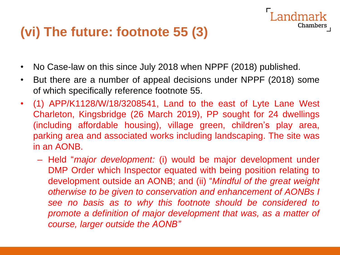#### **(vi) The future: footnote 55 (3)**

- No Case-law on this since July 2018 when NPPF (2018) published.
- But there are a number of appeal decisions under NPPF (2018) some of which specifically reference footnote 55.

- (1) APP/K1128/W/18/3208541, Land to the east of Lyte Lane West Charleton, Kingsbridge (26 March 2019), PP sought for 24 dwellings (including affordable housing), village green, children's play area, parking area and associated works including landscaping. The site was in an AONB.
	- Held "*major development:* (i) would be major development under DMP Order which Inspector equated with being position relating to development outside an AONB; and (ii) "*Mindful of the great weight otherwise to be given to conservation and enhancement of AONBs I see no basis as to why this footnote should be considered to promote a definition of major development that was, as a matter of course, larger outside the AONB"*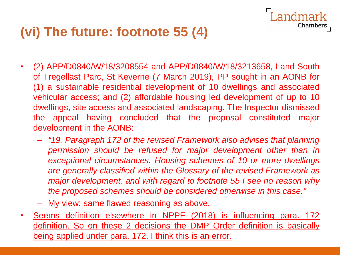#### **(vi) The future: footnote 55 (4)**

• (2) APP/D0840/W/18/3208554 and APP/D0840/W/18/3213658, Land South of Tregellast Parc, St Keverne (7 March 2019), PP sought in an AONB for (1) a sustainable residential development of 10 dwellings and associated vehicular access; and (2) affordable housing led development of up to 10 dwellings, site access and associated landscaping. The Inspector dismissed the appeal having concluded that the proposal constituted major development in the AONB:

andmark

- *"19. Paragraph 172 of the revised Framework also advises that planning permission should be refused for major development other than in exceptional circumstances. Housing schemes of 10 or more dwellings are generally classified within the Glossary of the revised Framework as major development, and with regard to footnote 55 I see no reason why the proposed schemes should be considered otherwise in this case."*
- My view: same flawed reasoning as above.
- Seems definition elsewhere in NPPF (2018) is influencing para. 172 definition. So on these 2 decisions the DMP Order definition is basically being applied under para. 172. I think this is an error.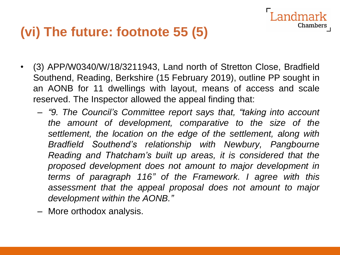#### **(vi) The future: footnote 55 (5)**

• (3) APP/W0340/W/18/3211943, Land north of Stretton Close, Bradfield Southend, Reading, Berkshire (15 February 2019), outline PP sought in an AONB for 11 dwellings with layout, means of access and scale reserved. The Inspector allowed the appeal finding that:

ndmark

- *"9. The Council's Committee report says that, "taking into account the amount of development, comparative to the size of the settlement, the location on the edge of the settlement, along with Bradfield Southend's relationship with Newbury, Pangbourne Reading and Thatcham's built up areas, it is considered that the proposed development does not amount to major development in terms of paragraph 116" of the Framework. I agree with this assessment that the appeal proposal does not amount to major development within the AONB."*
- More orthodox analysis.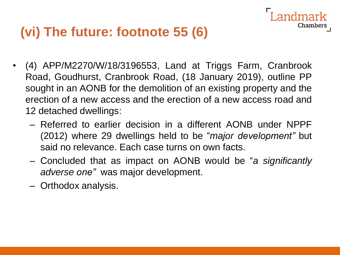#### **(vi) The future: footnote 55 (6)**

• (4) APP/M2270/W/18/3196553, Land at Triggs Farm, Cranbrook Road, Goudhurst, Cranbrook Road, (18 January 2019), outline PP sought in an AONB for the demolition of an existing property and the erection of a new access and the erection of a new access road and 12 detached dwellings:

- Referred to earlier decision in a different AONB under NPPF (2012) where 29 dwellings held to be "*major development"* but said no relevance. Each case turns on own facts.
- Concluded that as impact on AONB would be "*a significantly adverse one"* was major development.
- Orthodox analysis.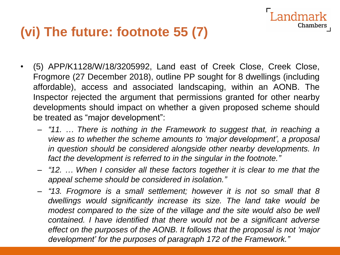#### **(vi) The future: footnote 55 (7)**

• (5) APP/K1128/W/18/3205992, Land east of Creek Close, Creek Close, Frogmore (27 December 2018), outline PP sought for 8 dwellings (including affordable), access and associated landscaping, within an AONB. The Inspector rejected the argument that permissions granted for other nearby developments should impact on whether a given proposed scheme should be treated as "major development":

andmark

- *"11. … There is nothing in the Framework to suggest that, in reaching a view as to whether the scheme amounts to 'major development', a proposal in question should be considered alongside other nearby developments. In fact the development is referred to in the singular in the footnote."*
- *"12. … When I consider all these factors together it is clear to me that the appeal scheme should be considered in isolation."*
- *"13. Frogmore is a small settlement; however it is not so small that 8 dwellings would significantly increase its size. The land take would be modest compared to the size of the village and the site would also be well contained. I have identified that there would not be a significant adverse effect on the purposes of the AONB. It follows that the proposal is not 'major development' for the purposes of paragraph 172 of the Framework."*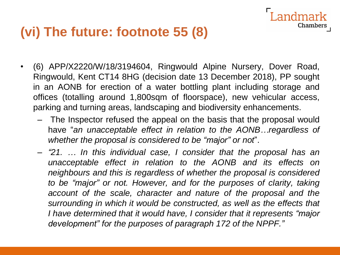#### **(vi) The future: footnote 55 (8)**

• (6) APP/X2220/W/18/3194604, Ringwould Alpine Nursery, Dover Road, Ringwould, Kent CT14 8HG (decision date 13 December 2018), PP sought in an AONB for erection of a water bottling plant including storage and offices (totalling around 1,800sqm of floorspace), new vehicular access, parking and turning areas, landscaping and biodiversity enhancements.

ndmark

- The Inspector refused the appeal on the basis that the proposal would have "*an unacceptable effect in relation to the AONB…regardless of whether the proposal is considered to be "major" or not*".
- *"21. … In this individual case, I consider that the proposal has an unacceptable effect in relation to the AONB and its effects on neighbours and this is regardless of whether the proposal is considered to be "major" or not. However, and for the purposes of clarity, taking account of the scale, character and nature of the proposal and the surrounding in which it would be constructed, as well as the effects that I have determined that it would have, I consider that it represents "major development" for the purposes of paragraph 172 of the NPPF."*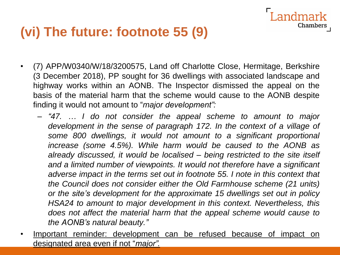#### **(vi) The future: footnote 55 (9)**

• (7) APP/W0340/W/18/3200575, Land off Charlotte Close, Hermitage, Berkshire (3 December 2018), PP sought for 36 dwellings with associated landscape and highway works within an AONB. The Inspector dismissed the appeal on the basis of the material harm that the scheme would cause to the AONB despite finding it would not amount to "*major development":*

andmark

- *"47. … I do not consider the appeal scheme to amount to major development in the sense of paragraph 172. In the context of a village of some 800 dwellings, it would not amount to a significant proportional increase (some 4.5%). While harm would be caused to the AONB as already discussed, it would be localised – being restricted to the site itself and a limited number of viewpoints. It would not therefore have a significant adverse impact in the terms set out in footnote 55. I note in this context that the Council does not consider either the Old Farmhouse scheme (21 units) or the site's development for the approximate 15 dwellings set out in policy HSA24 to amount to major development in this context. Nevertheless, this does not affect the material harm that the appeal scheme would cause to the AONB's natural beauty."*
- Important reminder: development can be refused because of impact on designated area even if not "*major".*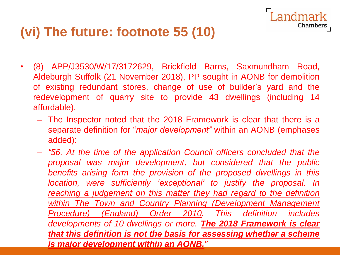#### **(vi) The future: footnote 55 (10)**

• (8) APP/J3530/W/17/3172629, Brickfield Barns, Saxmundham Road, Aldeburgh Suffolk (21 November 2018), PP sought in AONB for demolition of existing redundant stores, change of use of builder's yard and the redevelopment of quarry site to provide 43 dwellings (including 14 affordable).

ndmark

- The Inspector noted that the 2018 Framework is clear that there is a separate definition for "*major development"* within an AONB (emphases added):
- *"56. At the time of the application Council officers concluded that the proposal was major development, but considered that the public benefits arising form the provision of the proposed dwellings in this location, were sufficiently 'exceptional' to justify the proposal. In reaching a judgement on this matter they had regard to the definition within The Town and Country Planning (Development Management Procedure) (England) Order 2010. This definition includes developments of 10 dwellings or more. The 2018 Framework is clear that this definition is not the basis for assessing whether a scheme is major development within an AONB."*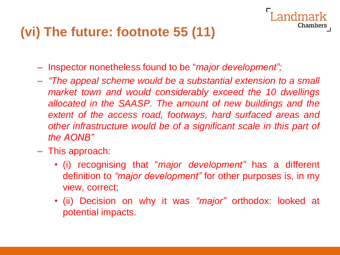#### **(vi) The future: footnote 55 (11)**

- Inspector nonetheless found to be "*major development";*
- *"The appeal scheme would be a substantial extension to a small market town and would considerably exceed the 10 dwellings allocated in the SAASP. The amount of new buildings and the extent of the access road, footways, hard surfaced areas and other infrastructure would be of a significant scale in this part of the AONB"*

- This approach:
	- (i) recognising that "*major development"* has a different definition to *"major development"* for other purposes is, in my view, correct;
	- (ii) Decision on why it was *"major"* orthodox: looked at potential impacts.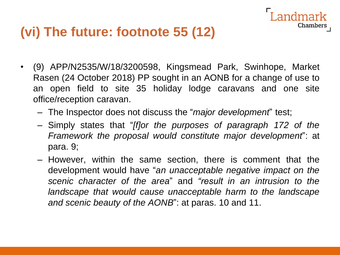#### **(vi) The future: footnote 55 (12)**

• (9) APP/N2535/W/18/3200598, Kingsmead Park, Swinhope, Market Rasen (24 October 2018) PP sought in an AONB for a change of use to an open field to site 35 holiday lodge caravans and one site office/reception caravan.

- The Inspector does not discuss the "*major development*" test;
- Simply states that "*[f]or the purposes of paragraph 172 of the Framework the proposal would constitute major development*": at para. 9;
- However, within the same section, there is comment that the development would have "*an unacceptable negative impact on the scenic character of the area*" and *"result in an intrusion to the landscape that would cause unacceptable harm to the landscape and scenic beauty of the AONB*": at paras. 10 and 11.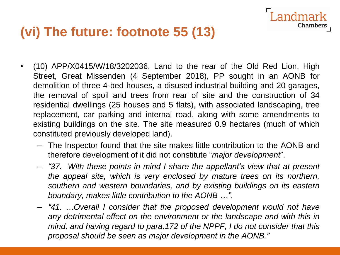#### **(vi) The future: footnote 55 (13)**

• (10) APP/X0415/W/18/3202036, Land to the rear of the Old Red Lion, High Street, Great Missenden (4 September 2018), PP sought in an AONB for demolition of three 4-bed houses, a disused industrial building and 20 garages, the removal of spoil and trees from rear of site and the construction of 34 residential dwellings (25 houses and 5 flats), with associated landscaping, tree replacement, car parking and internal road, along with some amendments to existing buildings on the site. The site measured 0.9 hectares (much of which constituted previously developed land).

andmark

- The Inspector found that the site makes little contribution to the AONB and therefore development of it did not constitute "*major development*".
- *"37. With these points in mind I share the appellant's view that at present the appeal site, which is very enclosed by mature trees on its northern, southern and western boundaries, and by existing buildings on its eastern boundary, makes little contribution to the AONB …".*
- *"41. …Overall I consider that the proposed development would not have any detrimental effect on the environment or the landscape and with this in mind, and having regard to para.172 of the NPPF, I do not consider that this proposal should be seen as major development in the AONB."*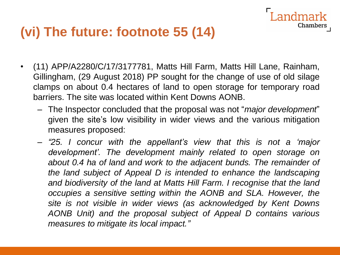#### **(vi) The future: footnote 55 (14)**

- (11) APP/A2280/C/17/3177781, Matts Hill Farm, Matts Hill Lane, Rainham, Gillingham, (29 August 2018) PP sought for the change of use of old silage clamps on about 0.4 hectares of land to open storage for temporary road barriers. The site was located within Kent Downs AONB.
	- The Inspector concluded that the proposal was not "*major development*" given the site's low visibility in wider views and the various mitigation measures proposed:

Chambers

– *"25. I concur with the appellant's view that this is not a 'major development'. The development mainly related to open storage on about 0.4 ha of land and work to the adjacent bunds. The remainder of the land subject of Appeal D is intended to enhance the landscaping and biodiversity of the land at Matts Hill Farm. I recognise that the land occupies a sensitive setting within the AONB and SLA. However, the site is not visible in wider views (as acknowledged by Kent Downs AONB Unit) and the proposal subject of Appeal D contains various measures to mitigate its local impact."*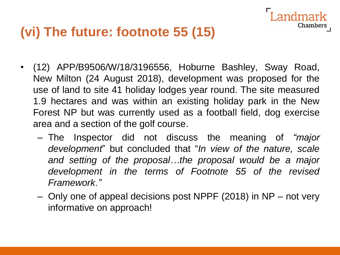#### **(vi) The future: footnote 55 (15)**

• (12) APP/B9506/W/18/3196556, Hoburne Bashley, Sway Road, New Milton (24 August 2018), development was proposed for the use of land to site 41 holiday lodges year round. The site measured 1.9 hectares and was within an existing holiday park in the New Forest NP but was currently used as a football field, dog exercise area and a section of the golf course.

- The Inspector did not discuss the meaning of *"major development*" but concluded that "*In view of the nature, scale and setting of the proposal…the proposal would be a major development in the terms of Footnote 55 of the revised Framework."*
- Only one of appeal decisions post NPPF (2018) in NP not very informative on approach!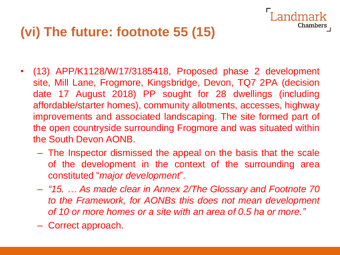#### **(vi) The future: footnote 55 (15)**

• (13) APP/K1128/W/17/3185418, Proposed phase 2 development site, Mill Lane, Frogmore, Kingsbridge, Devon, TQ7 2PA (decision date 17 August 2018) PP sought for 28 dwellings (including affordable/starter homes), community allotments, accesses, highway improvements and associated landscaping. The site formed part of the open countryside surrounding Frogmore and was situated within the South Devon AONB.

andmark

- The Inspector dismissed the appeal on the basis that the scale of the development in the context of the surrounding area constituted "*major development*".
- *"15. … As made clear in Annex 2/The Glossary and Footnote 70 to the Framework, for AONBs this does not mean development of 10 or more homes or a site with an area of 0.5 ha or more."*
- Correct approach.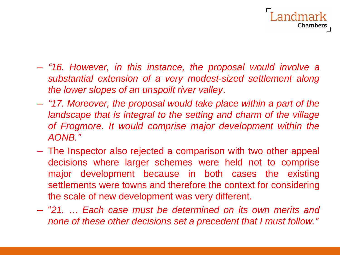

- *"16. However, in this instance, the proposal would involve a substantial extension of a very modest-sized settlement along the lower slopes of an unspoilt river valley*.
- *"17. Moreover, the proposal would take place within a part of the landscape that is integral to the setting and charm of the village of Frogmore. It would comprise major development within the AONB."*
- The Inspector also rejected a comparison with two other appeal decisions where larger schemes were held not to comprise major development because in both cases the existing settlements were towns and therefore the context for considering the scale of new development was very different.
- "*21. … Each case must be determined on its own merits and none of these other decisions set a precedent that I must follow."*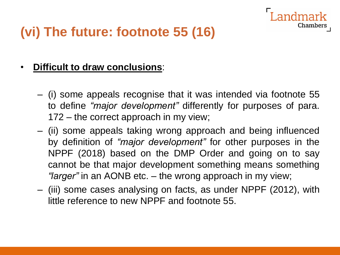

#### **(vi) The future: footnote 55 (16)**

#### • **Difficult to draw conclusions**:

- (i) some appeals recognise that it was intended via footnote 55 to define *"major development"* differently for purposes of para. 172 – the correct approach in my view;
- (ii) some appeals taking wrong approach and being influenced by definition of *"major development"* for other purposes in the NPPF (2018) based on the DMP Order and going on to say cannot be that major development something means something *"larger"* in an AONB etc. – the wrong approach in my view;
- (iii) some cases analysing on facts, as under NPPF (2012), with little reference to new NPPF and footnote 55.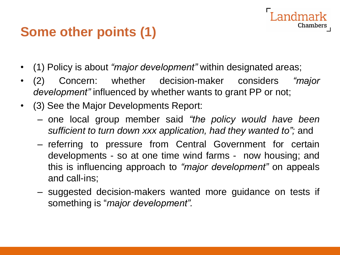#### **Some other points (1)**

- (1) Policy is about *"major development"* within designated areas;
- (2) Concern: whether decision-maker considers *"major development"* influenced by whether wants to grant PP or not;
- (3) See the Major Developments Report:
	- one local group member said *"the policy would have been sufficient to turn down xxx application, had they wanted to";* and

- referring to pressure from Central Government for certain developments - so at one time wind farms - now housing; and this is influencing approach to *"major development"* on appeals and call-ins;
- suggested decision-makers wanted more guidance on tests if something is "*major development".*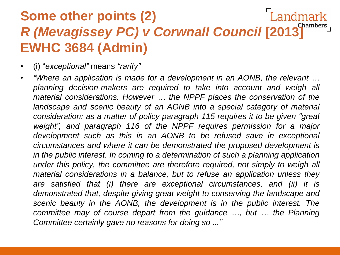#### Landmark **Some other points (2)** *R (Mevagissey PC) v Corwnall Council* **[2013] EWHC 3684 (Admin)**

- (i) "*exceptional"* means *"rarity"*
- *"Where an application is made for a development in an AONB, the relevant … planning decision-makers are required to take into account and weigh all material considerations. However … the NPPF places the conservation of the landscape and scenic beauty of an AONB into a special category of material consideration: as a matter of policy paragraph 115 requires it to be given "great weight", and paragraph 116 of the NPPF requires permission for a major development such as this in an AONB to be refused save in exceptional circumstances and where it can be demonstrated the proposed development is in the public interest. In coming to a determination of such a planning application under this policy, the committee are therefore required, not simply to weigh all material considerations in a balance, but to refuse an application unless they are satisfied that (i) there are exceptional circumstances, and (ii) it is demonstrated that, despite giving great weight to conserving the landscape and scenic beauty in the AONB, the development is in the public interest. The committee may of course depart from the guidance …, but … the Planning Committee certainly gave no reasons for doing so ..."*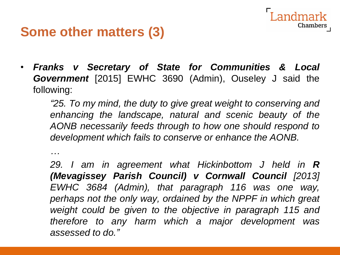#### **Some other matters (3)**

*…*

• *Franks v Secretary of State for Communities & Local Government* [2015] EWHC 3690 (Admin), Ouseley J said the following:

*"25. To my mind, the duty to give great weight to conserving and enhancing the landscape, natural and scenic beauty of the AONB necessarily feeds through to how one should respond to development which fails to conserve or enhance the AONB.*

Chamber

*29. I am in agreement what Hickinbottom J held in R (Mevagissey Parish Council) v Cornwall Council [2013] EWHC 3684 (Admin), that paragraph 116 was one way, perhaps not the only way, ordained by the NPPF in which great weight could be given to the objective in paragraph 115 and therefore to any harm which a major development was assessed to do."*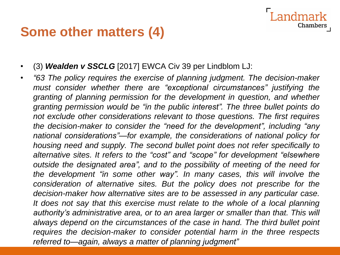#### **Some other matters (4)**

- (3) *Wealden v SSCLG* [2017] EWCA Civ 39 per Lindblom LJ:
- *"63 The policy requires the exercise of planning judgment. The decision-maker must consider whether there are "exceptional circumstances" justifying the granting of planning permission for the development in question, and whether granting permission would be "in the public interest". The three bullet points do not exclude other considerations relevant to those questions. The first requires the decision-maker to consider the "need for the development", including "any national considerations"—for example, the considerations of national policy for housing need and supply. The second bullet point does not refer specifically to alternative sites. It refers to the "cost" and "scope" for development "elsewhere outside the designated area", and to the possibility of meeting of the need for the development "in some other way". In many cases, this will involve the consideration of alternative sites. But the policy does not prescribe for the decision-maker how alternative sites are to be assessed in any particular case. It does not say that this exercise must relate to the whole of a local planning authority's administrative area, or to an area larger or smaller than that. This will always depend on the circumstances of the case in hand. The third bullet point requires the decision-maker to consider potential harm in the three respects referred to—again, always a matter of planning judgment"*

andmark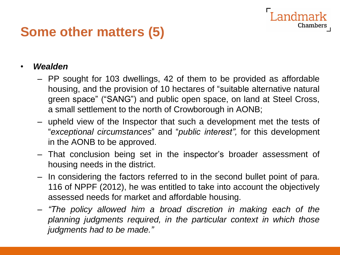#### **Some other matters (5)**

#### • *Wealden*

– PP sought for 103 dwellings, 42 of them to be provided as affordable housing, and the provision of 10 hectares of "suitable alternative natural green space" ("SANG") and public open space, on land at Steel Cross, a small settlement to the north of Crowborough in AONB;

- upheld view of the Inspector that such a development met the tests of "*exceptional circumstances*" and "*public interest",* for this development in the AONB to be approved.
- That conclusion being set in the inspector's broader assessment of housing needs in the district.
- In considering the factors referred to in the second bullet point of para. 116 of NPPF (2012), he was entitled to take into account the objectively assessed needs for market and affordable housing.
- *"The policy allowed him a broad discretion in making each of the planning judgments required, in the particular context in which those judgments had to be made."*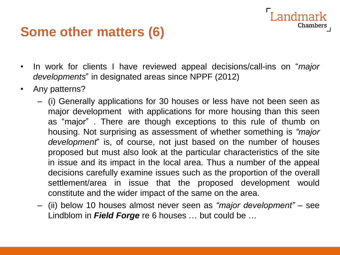#### **Some other matters (6)**

• In work for clients I have reviewed appeal decisions/call-ins on "*major developments*" in designated areas since NPPF (2012)

- Any patterns?
	- (i) Generally applications for 30 houses or less have not been seen as major development with applications for more housing than this seen as "major" . There are though exceptions to this rule of thumb on housing. Not surprising as assessment of whether something is *"major development*" is, of course, not just based on the number of houses proposed but must also look at the particular characteristics of the site in issue and its impact in the local area. Thus a number of the appeal decisions carefully examine issues such as the proportion of the overall settlement/area in issue that the proposed development would constitute and the wider impact of the same on the area.
	- (ii) below 10 houses almost never seen as *"major development"* see Lindblom in *Field Forge* re 6 houses … but could be …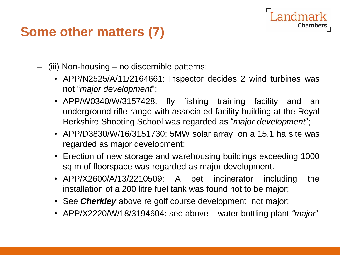#### **Some other matters (7)**

- (iii) Non-housing no discernible patterns:
	- APP/N2525/A/11/2164661: Inspector decides 2 wind turbines was not "*major development*";

- APP/W0340/W/3157428: fly fishing training facility and an underground rifle range with associated facility building at the Royal Berkshire Shooting School was regarded as "*major development*";
- APP/D3830/W/16/3151730: 5MW solar array on a 15.1 ha site was regarded as major development;
- Erection of new storage and warehousing buildings exceeding 1000 sq m of floorspace was regarded as major development.
- APP/X2600/A/13/2210509: A pet incinerator including the installation of a 200 litre fuel tank was found not to be major;
- See *Cherkley* above re golf course development not major;
- APP/X2220/W/18/3194604: see above water bottling plant *"major*"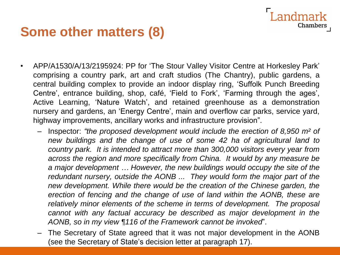#### **Some other matters (8)**

• APP/A1530/A/13/2195924: PP for 'The Stour Valley Visitor Centre at Horkesley Park' comprising a country park, art and craft studios (The Chantry), public gardens, a central building complex to provide an indoor display ring, 'Suffolk Punch Breeding Centre', entrance building, shop, café, 'Field to Fork', 'Farming through the ages', Active Learning, 'Nature Watch', and retained greenhouse as a demonstration nursery and gardens, an 'Energy Centre', main and overflow car parks, service yard, highway improvements, ancillary works and infrastructure provision".

Landmark

- Inspector: *"the proposed development would include the erection of 8,950 m² of new buildings and the change of use of some 42 ha of agricultural land to country park. It is intended to attract more than 300,000 visitors every year from across the region and more specifically from China. It would by any measure be a major development … However, the new buildings would occupy the site of the redundant nursery, outside the AONB ... They would form the major part of the new development. While there would be the creation of the Chinese garden, the erection of fencing and the change of use of land within the AONB, these are relatively minor elements of the scheme in terms of development. The proposal cannot with any factual accuracy be described as major development in the AONB, so in my view ¶116 of the Framework cannot be invoked*".
- The Secretary of State agreed that it was not major development in the AONB (see the Secretary of State's decision letter at paragraph 17).